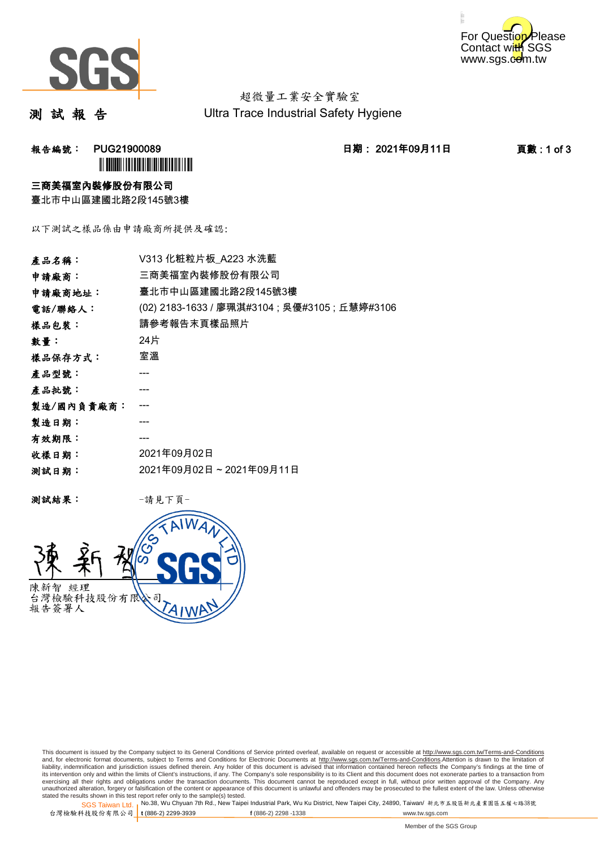



超微量工業安全實驗室 Ultra Trace Industrial Safety Hygiene

測 試 報 告

報告編號: PUG21900089 日期: 2021年09月11日 頁數 : 1 of 3 **`** 

### 三商美福室內裝修股份有限公司

臺北市中山區建國北路2段145號3樓

以下測試之樣品係由申請廠商所提供及確認:

| 三商美福室內裝修股份有限公司<br>申請廠商:<br>臺北市中山區建國北路2段145號3樓<br>申請廠商地址:<br>(02) 2183-1633 / 廖珮淇#3104 ; 吳優#3105 ; 丘慧婷#3106<br>電話/聯絡人:<br>請參考報告末頁樣品照片<br>樣品包裝:<br>24片<br>數量:<br>室溫<br>產品批號:<br>製造/國內負責廠商:<br>製造日期:<br>有效期限:<br>2021年09月02日<br>收樣日期:<br>2021年09月02日~2021年09月11日<br>测試日期: | 產品名稱:   | V313 化粧粒片板 A223 水洗藍 |
|------------------------------------------------------------------------------------------------------------------------------------------------------------------------------------------------------------------------------------------------------------------------|---------|---------------------|
|                                                                                                                                                                                                                                                                        |         |                     |
|                                                                                                                                                                                                                                                                        |         |                     |
|                                                                                                                                                                                                                                                                        |         |                     |
|                                                                                                                                                                                                                                                                        |         |                     |
|                                                                                                                                                                                                                                                                        |         |                     |
|                                                                                                                                                                                                                                                                        | 樣品保存方式: |                     |
|                                                                                                                                                                                                                                                                        | 產品型號:   |                     |
|                                                                                                                                                                                                                                                                        |         |                     |
|                                                                                                                                                                                                                                                                        |         |                     |
|                                                                                                                                                                                                                                                                        |         |                     |
|                                                                                                                                                                                                                                                                        |         |                     |
|                                                                                                                                                                                                                                                                        |         |                     |
|                                                                                                                                                                                                                                                                        |         |                     |

測試結果: -請見下頁-



This document is issued by the Company subject to its General Conditions of Service printed overleaf, available on request or accessible at http://www.sgs.com.tw/Terms-and-Conditions and, for electronic format documents, subject to Terms and Conditions for Electronic Documents at <u>http://www.sgs.com.tw/Terms-and-Conditions</u>.Attention is drawn to the limitation of<br>liability, indemnification and jurisdic exercising all their rights and obligations under the transaction documents. This document cannot be reproduced except in full, without prior written approval of the Company. Any<br>unauthorized alteration, forgery or falsifi

SGS Taiwan Ltd. 1 stated the results shown in this test report refer only to the sample(s) tested.<br>Stated the results shown in this test report refer only to the sample(s) tested.

台灣檢驗科技股份有限公司

**t** (886-2) 2299-3939 **f** (886-2) 2298 -1338 www.tw.sgs.com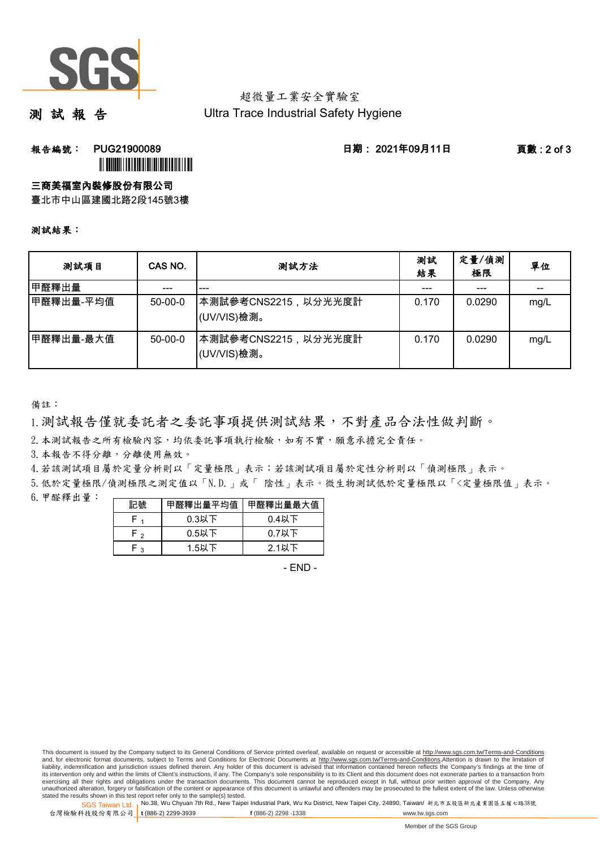

## 超微量工業安全實驗室 Ultra Trace Industrial Safety Hygiene

測 試 報 告

**報告編號: PUG21900089 日期: 2021年09月11日 頁數:2 of 3** 

ÌPUG21900089DÎ

## 三商美福室內裝修股份有限公司

臺北市中山區建國北路2段145號3樓

#### 測試結果:

| 测試項目      | CAS NO.   | 测試方法                                | 測試<br>結果 | 定量/偵測<br>極限 | 單位   |
|-----------|-----------|-------------------------------------|----------|-------------|------|
| 甲醛釋出量     |           | ---                                 |          | ---         | --   |
| 甲醛釋出量-平均值 | $50-00-0$ | ┃本測試參考CNS2215,以分光光度計<br>(UV/VIS)檢測。 | 0.170    | 0.0290      | mg/L |
| 甲醛釋出量-最大值 | $50-00-0$ | ┃本測試參考CNS2215,以分光光度計<br>(UV/VIS)檢測。 | 0.170    | 0.0290      | mg/L |

備註:

1.測試報告僅就委託者之委託事項提供測試結果,不對產品合法性做判斷。

2. 本測試報告之所有檢驗內容,均依委託事項執行檢驗,如有不實,願意承擔完全責任。

3. 本報告不得分離,分離使用無效。

4.若該測試項目屬於定量分析則以「定量極限」表示;若該測試項目屬於定性分析則以「偵測極限」表示。

5.低於定量極限/偵測極限之測定值以「N.D.」或「 陰性」表示。微生物測試低於定量極限以「<定量極限值」表示。

6.甲醛釋出量:

| 記號   | 甲醛釋出量平均值 甲醛釋出量最大值 |          |  |  |
|------|-------------------|----------|--|--|
|      | $0.3$ 以下          | $0.4$ 以下 |  |  |
| F,   | $0.5$ 以下          | $0.7$ 以下 |  |  |
| ہ -ا | $1.5$ 以下          | 2.1以下    |  |  |

- END -

SGS Taiwan Ltd. 1 stated the results shown in this test report refer only to the sample(s) tested.<br>Stated the results shown in this test report refer only to the sample(s) tested.

台灣檢驗科技股份有限公司

**t** (886-2) 2299-3939 **f** (886-2) 2298 -1338 www.tw.sgs.com

This document is issued by the Company subject to its General Conditions of Service printed overleaf, available on request or accessible at http://www.sgs.com.tw/Terms-and-Conditions and, for electronic format documents, subject to Terms and Conditions for Electronic Documents at http://www.sgs.com.tw/Terms-and-Conditions.Attention is drawn to the limitation of liability, indemnification and jurisdiction issues defined therein. Any holder of this document is advised that information contained hereon reflects the Company's findings at the time of<br>its intervention only and within t exercising all their rights and obligations under the transaction documents. This document cannot be reproduced except in full, without prior written approval of the Company. Any<br>unauthorized alteration, forgery or falsifi